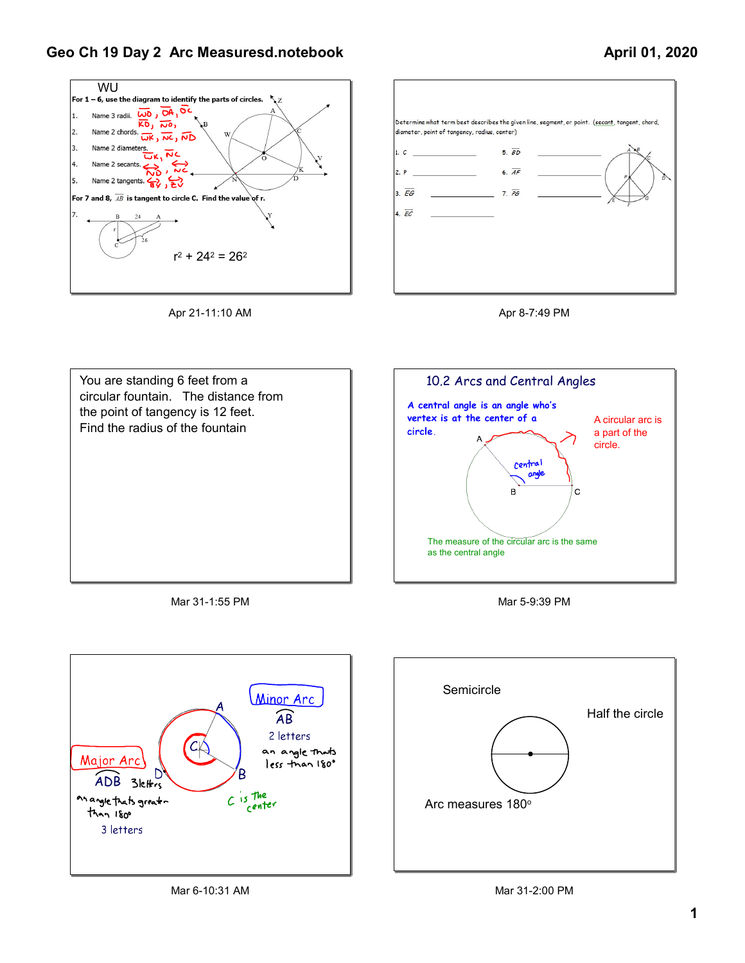## Geo Ch 19 Day 2 Arc Measuresd.notebook

## April 01, 2020











Mar 31-1:55 PM